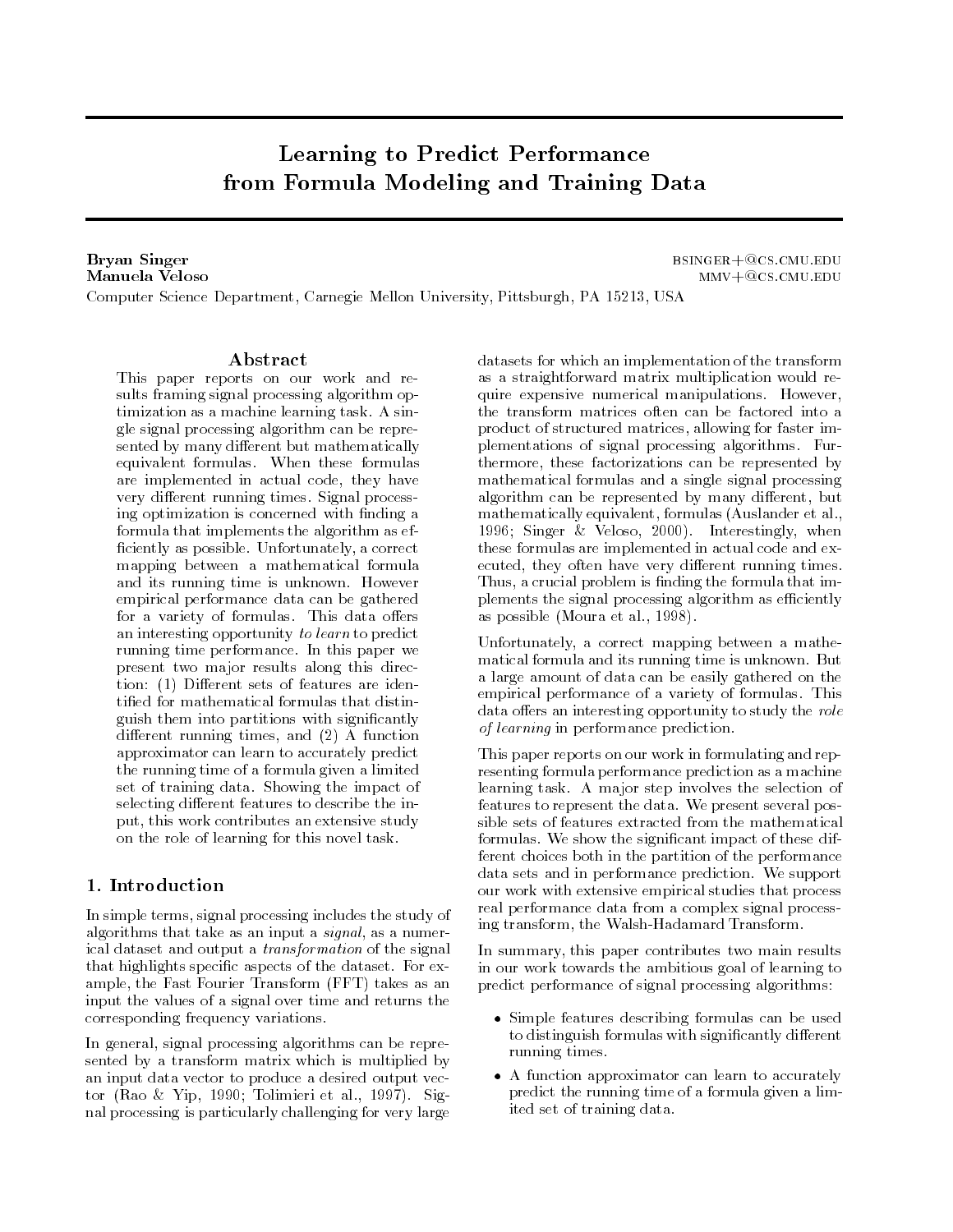# Learning to Predict Performancefrom Formula Modeling and Training Data

Bryan Singer bsinger-cscmueduManuela Velosommu-film  $\mathbf{m}$  and  $\mathbf{m}$  and  $\mathbf{m}$  are contributed by the contribution of  $\mathbf{m}$ Computer Science Department- Carnegie Mellon University- Pittsburgh- PA - USA

#### Abstract

This paper reports on our work and re sults framing signal processing algorithm op timization as a machine learning task A sin gle signal processing algorithm can be repre sented by many different but mathematically equivalent formulas When these formulas are interpretented in actual code-there is not a codevery different running times. Signal processing optimization is concerned with nding a formula that implements the algorithm as ef ciently and possible University-University of the Correct Correct Correct Correct Correct Correct Correct Corr mapping between a mathematical formula and its running time is unknown However empirical performance data can be gathered for a variety of formulas. This data offers an interesting opportunity to learn to predict running time performance In this paper we present two major results along this direc tion: (1) Different sets of features are idenguish them into partitions with signi cantly  $\mathcal{L}$  running times-  $\mathcal{L}$  and  $\mathcal{L}$  are the state  $\mathcal{L}$ approximator can learn to accurately predict the running time of a formula given a limited set of training data Showing the impact of selecting different features to describe the input- this work contributes and the study study of the study on the role of learning for this novel task

## 1. Introduction

in single terms-processing including includes the study of algorithms that take as a numerical control of the signal-take as a numerical control of the signal-take as a n ical dataset and output a transformation of the signal that highlights speci c aspects of the dataset For ex and  $\mathbf{r}_1$  and  $\mathbf{r}_2$  for  $\mathbf{r}_3$  and  $\mathbf{r}_4$  as an anomaly form  $\mathbf{r}_1$  and  $\mathbf{r}_2$  and  $\mathbf{r}_3$ input the values of a signal over time and returns the corresponding frequency variations

In general- signal processing algorithms can be repre sented by a transform matrix which is multiplied by an input data vector to produce a desired output vec tor is the range of the commuter of the rate  $\mathcal{C}$  and  $\mathcal{C}$ nal processing is particularly challenging for very large

datasets for which an implementation of the transform as a straightforward matrix multiplication would re quire expensive numerical manipulations. However, the transform matrices often can be factored into a product of structured matrices- allowing for faster im plementations of signal processing algorithms Fur thermore- these factorizations can be represented by mathematical formulas and a single signal processing algorithm can be represented by many discoveries of the representation of the contract of the contract of the c mathematically equivalent- formulas Auslander et alsingly-when the contract of the contract of the state of the state of the state of the state of the state of t these formulas are implemented in actual code and ex ecuted-they often have very discussion of the state very discussion of the state very discussion of the state o Thus-crucial problem is the formula that includes the formula that includes the formula that includes the formula that includes the formula that includes the formula that includes the formula that includes the formula that plements the signal processing algorithm as efficiently as possible and mountain the contract of the contract of the contract of the contract of the contract of the c

University of the correct mapping between a mathematic matical formula and its running time is unknown. But a large amount of data can be easily gathered on the empirical performance of a variety of formulas. This data offers an interesting opportunity to study the role of learning in performance prediction.

This paper reports on our work in formulating and rep resenting formula performance prediction as a machine learning task A major step involves the selection of features to represent the data We present several pos sible sets of features extracted from the mathematical formulas We show the signi cant impact of these dif ferent choices both in the partition of the performance data sets and in performance prediction We support our work with extensive empirical studies that process real performance data from a complex signal process ing transform- the WalshHadamard Transform

In summary- this paper contributes two main results in our work towards the ambitious goal of learning to predict performance of signal processing algorithms

- Simple features describing formulas can be used to distinguish formulas with significantly different running times
- $\bullet$  A function approximator can learn to accurately predict the running time of a formula given a lim ited set of training data

 $MMV + @CS.CMU. EDU$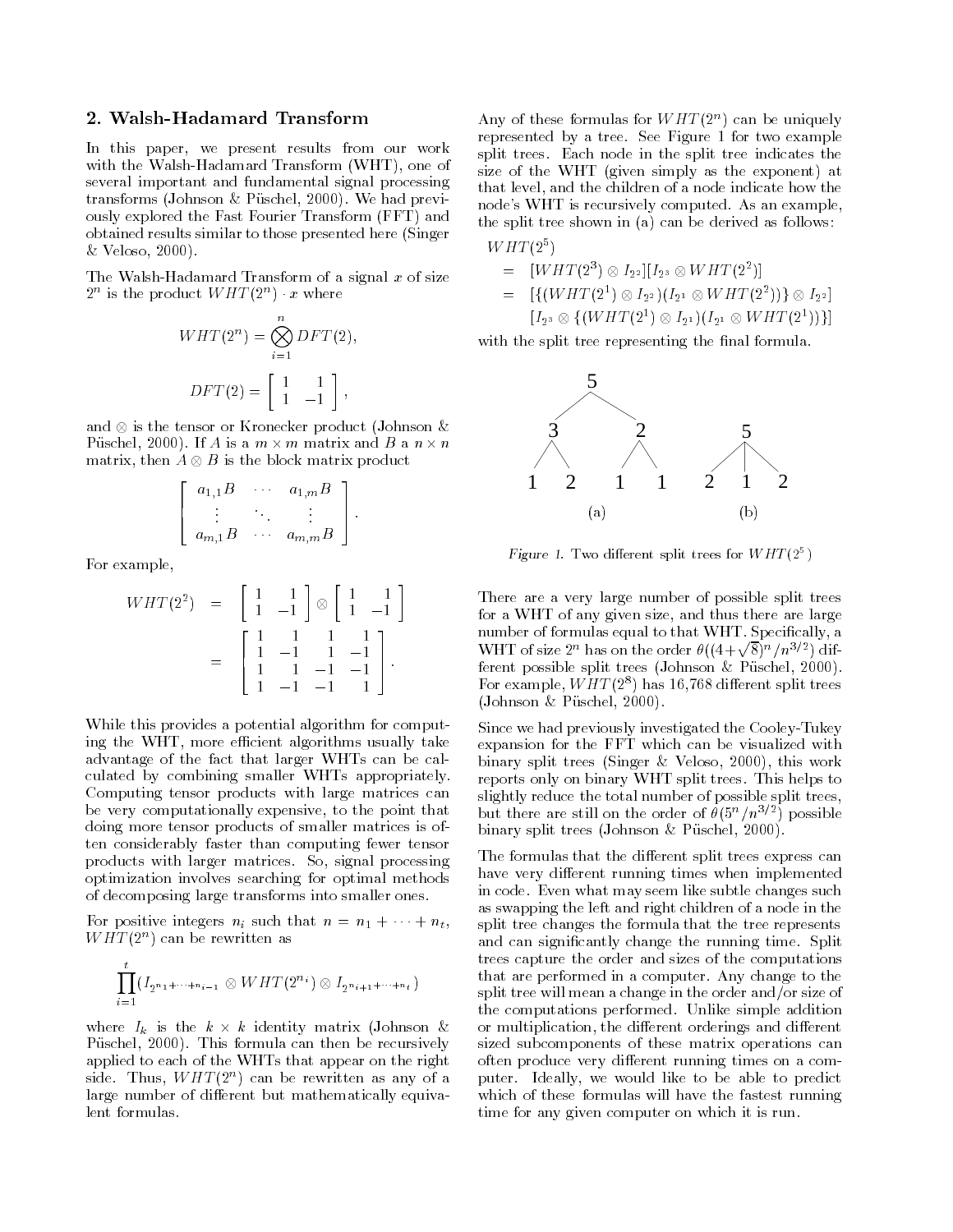## 2. Walsh-Hadamard Transform

In this paper- we present results from our work with the Walsh-Hadamard Transform (WHT), one of with the WalshEadamard Transform  $\mathbb{R}^n$  and  $\mathbb{R}^n$  and  $\mathbb{R}^n$  and  $\mathbb{R}^n$  and  $\mathbb{R}^n$  and  $\mathbb{R}^n$ several important and fundamental signal processing transforms in the contract of the contract of the contract of the contract of the contract of the contract of t ously explored the Fast Fourier Transform (FFT) and obtained results similar to those presented here (Singer Veloso-

The Walsh-Hadamard Transform of a signal  $x$  of size  $2^{\circ}$  is the product *WHT (2<sup>-</sup>)*  $\cdot x$  where

$$
WHT(2n) = \bigotimes_{i=1}^{n} DFT(2),
$$
  

$$
DFT(2) = \begin{bmatrix} 1 & 1 \\ 1 & -1 \end{bmatrix},
$$

and  $\otimes$  is the tensor or Kronecker product (Johnson & Puschel, 2000). If A is a  $m \times m$  matrix and B a  $n \times n$ matrix, then  $A \otimes B$  is the block matrix product

$$
\left[\begin{array}{ccc} a_{1,1}B & \cdots & a_{1,m}B \\ \vdots & & \vdots \\ a_{m,1}B & \cdots & a_{m,m}B \end{array}\right].
$$

For example,

$$
WHT(2^{2}) = \begin{bmatrix} 1 & 1 \\ 1 & -1 \end{bmatrix} \otimes \begin{bmatrix} 1 & 1 \\ 1 & -1 \end{bmatrix}
$$

$$
= \begin{bmatrix} 1 & 1 & 1 & 1 \\ 1 & -1 & 1 & -1 \\ 1 & 1 & -1 & -1 \\ 1 & -1 & -1 & 1 \end{bmatrix}.
$$

While this provides a potential algorithm for comput ing the WHT- more ecient algorithms usually take advantage of the fact that larger WHTs can be cal culated by combining smaller WHTs appropriately Computing tensor products with large matrices can be very computationally expensive-to-the point that the point that the point that the point that the point tha doing more tensor products of smaller matrices is of ten considerably faster than computing fewer tensor products with larger matrices So- signal processing optimization involves searching for optimal methods of decomposing large transforms into smaller ones

For positive integers  $n_i$  such that  $n = n_1 + \cdots + n_t$ ,  $W \Pi T(Z^+)$  can be rewritten as

$$
\prod_{i=1}^t (I_{2^{n_1+\cdots+n_{i-1}}}\otimes WHT(2^{n_i})\otimes I_{2^{n_i+1+\cdots+n_t}})
$$

where  $I_k$  is the  $k \times k$  identity matrix (Johnson & . A this formula can the recursive the recursive formula can then  $\mathcal{F}_{\mathcal{A}}$ applied to each of the WHTs that appear on the right side. Thus,  $WHI(2^+)$  can be rewritten as any of a large number of different but mathematically equivalent formulas

Any of these formulas for  $W H I (2^+)$  can be uniquely represented by a tree. See Figure  $1$  for two example split trees Each node in the split tree indicates the size of the WHT (given simply as the exponent) at that level-benefits and the children of a node indicate how the children of a node indicate how the children of node's WHT is recursively computed. As an example, the split tree shown in (a) can be derived as follows:

 $WHT(2^5)$  $\mathbf{r}$ 

$$
= [WHT(2^{3}) \otimes I_{2^{2}}][I_{2^{3}} \otimes WHT(2^{2})]
$$
  
\n
$$
= [ \{ (WHT(2^{1}) \otimes I_{2^{2}})(I_{2^{1}} \otimes WHT(2^{2})) \} \otimes I_{2^{2}} ]
$$
  
\n
$$
[I_{2^{3}} \otimes \{ (WHT(2^{1}) \otimes I_{2^{1}})(I_{2^{1}} \otimes WHT(2^{1})) \} ]
$$

with the split tree representing the split tree representing the split tree representing the split tree representing the split tree representation of the split tree representation of the split tree representation of the sp



Figure 1. Two different split trees for WHT(2 )  $\,$ 

There are a very large number of possible split trees for a WHT of any given size- and thus there are large number of formulas equal to that WHT Special to the WHT Special to the WHT Special to that WHT Special to the W WHT of size  $2^n$  has on the order  $\theta((4+\sqrt{8})^n/n^{3/2})$  different possible split trees Johnson Puschel- For example, *WHI* (2<sup>-</sup>) has 10,708 different spilt trees Johnson Puschel-

Since we had previously investigated the Cooley-Tukey expansion for the FFT which can be visualized with  $\mathcal{L}$  . This is the singlet of this work in this work  $\mathcal{L}$ reports only on binary WHT split trees This helps to slightly reduce the total number of possible split trees, but there are still on the order of  $\sigma(\vartheta^*)/n^{-r-1}$  possible binary split trees Johnson Puschel-

The formulas that the different split trees express can have very different running times when implemented in code Even what may seem like subtle changes such as swapping the left and right children of a node in the split tree changes the formula that the tree represents and can significantly change the running time split split trees capture the order and sizes of the computations that are performed in a computer. Any change to the split tree will mean a change in the order and/or size of the computations performed. Unlike simple addition or multiplication-direction-direction-direction-direction-direction-direction-direction-direction-direction-directionsized subcomponents of these matrix operations can often produce very different running times on a computer address, in the best to be able to be able to predict the which of these formulas will have the fastest running time for any given computer on which it is run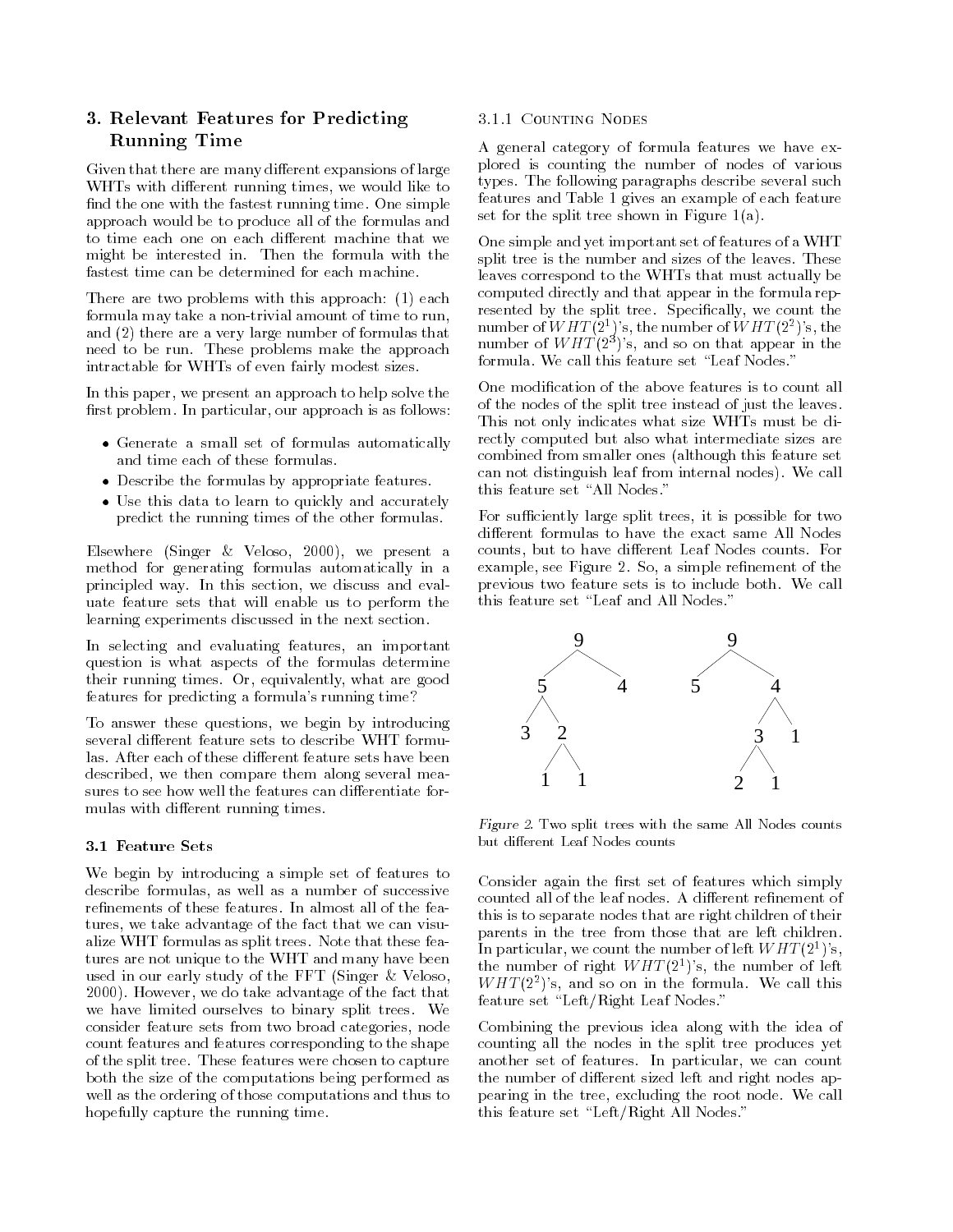## 3. Relevant Features for Predicting Running Time

Given that there are many different expansions of large While the contract running times-dimensional like to the contract run number of  $\mathbb{R}^n$ nd the one with the fastest running times run analyse approach would be to produce all of the formulas and to time each one on each different machine that we might be interested in Then the formula with the fastest time can be determined for each machine

There are two problems with this approach:  $(1)$  each formula may take a non-trivial amount of time to run, and (2) there are a very large number of formulas that need to be run These problems make the approach intractable for WHTs of even fairly modest sizes

In this paper- we present an approach to help solve the rest perticular experiences in the perticular in an extent of the state of the state of the state of the state of the state of the state of the state of the state of the state of the state of the state of the state of the

- $\bullet$  Generate a small set of formulas automatically  $\bullet$ and time each of these formulas
- $\bullet\,$  Describe the formulas by appropriate features.  $\,$
- Use this data to learn to quickly and accurately Use this data to learn to quickly and accurately predict the running times of the other formulas

elsewhere present and the second present and the second contract of the second contract of the second contract of the second contract of the second contract of the second contract of the second contract of the second contr method for generating formulas automatically in a principled way, the section-control was sections and evaluated and evaluated and evaluated and evaluated and e uate feature sets that will enable us to perform the learning experiments discussed in the next section

In selecting and evaluating features- an important question is what aspects of the formulas determine their running times Or- equivalently- what are good features for predicting a formula's running time?

to answer these questions-by internal problems-by internal problems-by internal problems-by internal problemsseveral different feature sets to describe WHT formulas. After each of these different feature sets have been described and compared the compared measured server along the compared of the compared of the compared of the compa sures to see how well the features can differentiate formulas with different running times.

#### - Feature Sets

We begin by introducing a simple set of features to as well as a number of successive of successive of successive  $\alpha$ tures, we that we there  $\pi$  is the fact that we can visual alize WHT formulas as split trees. Note that these features are not unique to the WHT and many have been used in our early study of the FFT (Singer  $&$  Veloso, However- we do take advantage of the fact that we have limited ourselves to binary split trees We consider feature sets from two broad categories- node count features and features corresponding to the shape of the split tree. These features were chosen to capture both the size of the computations being performed as well as the ordering of those computations and thus to hopefully capture the running time.

#### 3.1.1 COUNTING NODES

A general category of formula features we have ex plored is counting the number of nodes of various types. The following paragraphs describe several such features and Table 1 gives an example of each feature set for the split tree shown in Figure  $1(a)$ .

One simple and yet important set of features of a WHT split tree is the number and sizes of the leaves These leaves correspond to the WHTs that must actually be computed directly and that appear in the formula rep reserve by the split tree specifications, the specific the  $\sim$ number of W  $H$  I (2\*) s, the number of W  $H$  I (2\*) s, the number of  $WHI(2^+)$  s, and so on that appear in the formula. We call this feature set "Leaf Nodes."

of the nodes of the split tree instead of just the leaves This not only indicates what size WHTs must be di rectly computed but also what intermediate sizes are combined from smaller ones (although this feature set can not distinguish leaf from internal nodes
We call this feature set "All Nodes."

For suciently large split trees- it is possible for two different formulas to have the exact same All Nodes counts-but to have discussed but to have discussed but to have discussed but to have discussed but the counts F examples, and so give s single resemption sections are constant to the simple results of the simple results of previous two feature sets is to include both. We call previous two feature sets is to include both We call the sets is to include both We call the sets is to include both We call the sets is to include both We call the sets is to include both We call the sets is to include bo this feature set "Leaf and All Nodes."



Figure  $\Delta$ . Two split trees with the same All Nodes counts

consider against the first art of features which simply the simply this is to separate nodes that are right children of their parents in the tree from those that are left children In particular, we count the number of left WHT  $(2^{\circ})$  s, the number of right  $WHH(Z^*)$  s, the number of felt  $WHI$  (2-) s, and so on in the formula. We call this feature set "Left/Right Leaf Nodes."

Combining the previous idea along with the idea of counting all the nodes in the split tree produces yet another set of features In particular-  $\blacksquare$  we can count the countries in particularthe number of different sized left and right nodes appearang in the tree-pearling the root node We call this feature set "Left/Right All Nodes."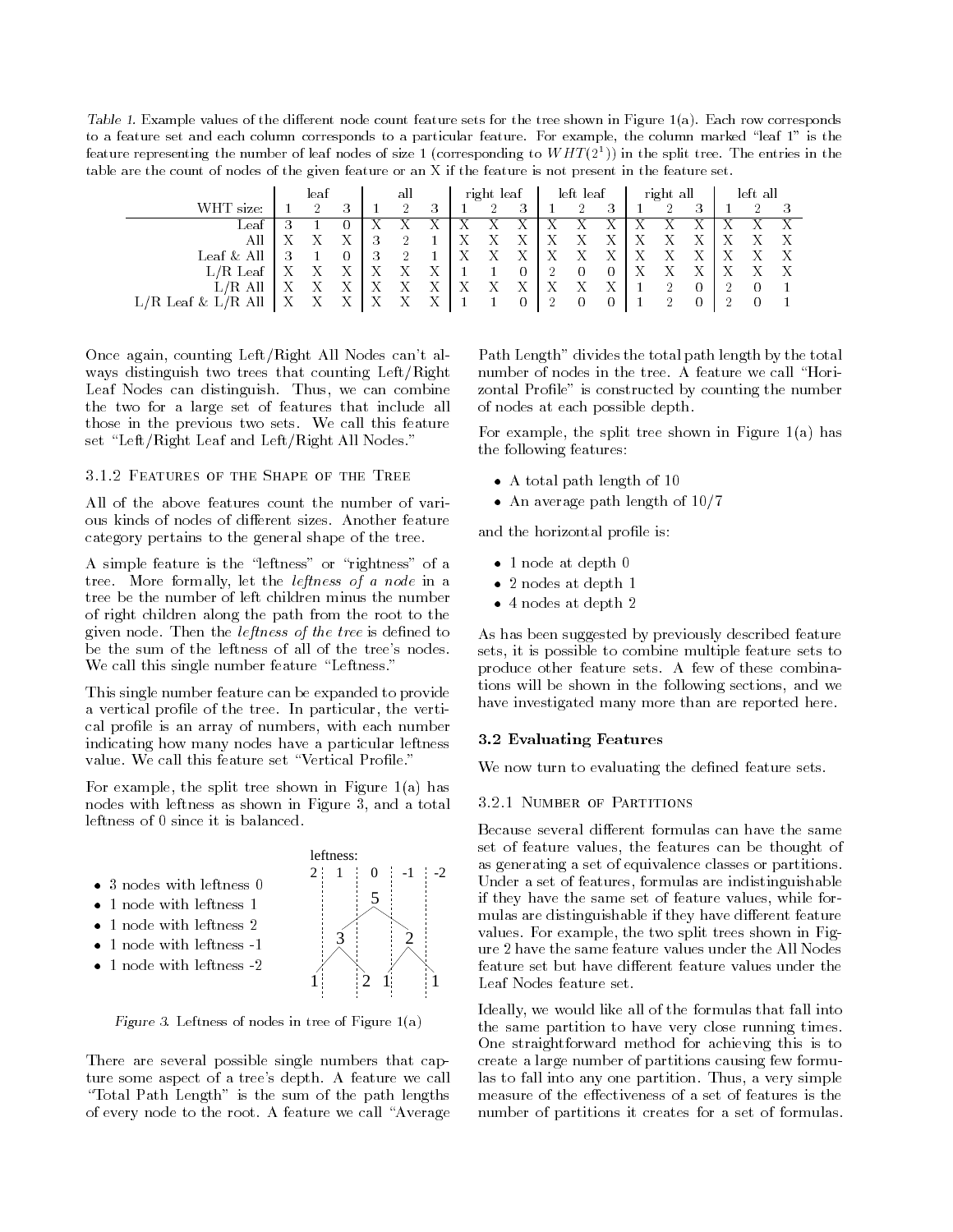Table T. Example values of the different node count feature sets for the tree shown in Figure 1(a). Each row corresponds to a feature set and each column corresponds to a particular feature For example the column marked  $\Gamma$ feature representing the number of leaf nodes of size 1 (corresponding to WHT(2+)) in the split tree. The entries in the table are the count of nodes of the given feature or an X if the feature is not present in the feature set

|                                   | leaf |  | all |    | right leaf |     | left leaf |   | right all |  | left all |        |  |   |     |  |  |  |
|-----------------------------------|------|--|-----|----|------------|-----|-----------|---|-----------|--|----------|--------|--|---|-----|--|--|--|
| WHT size:                         |      |  | 3   |    |            |     |           | ച | 3         |  | ച        |        |  | ച | 2   |  |  |  |
| Leaf                              |      |  |     |    |            |     |           |   |           |  |          |        |  |   |     |  |  |  |
| All                               |      |  |     | ., |            |     |           |   | -43       |  |          | $\tau$ |  |   |     |  |  |  |
| All<br>$\operatorname{Leaf} \ \&$ |      |  |     | ◡  |            |     |           |   | Χ         |  |          |        |  |   | ∡ ⊾ |  |  |  |
| $L/R$ Leaf                        |      |  |     |    |            | -48 |           |   | U         |  | $\Omega$ |        |  |   |     |  |  |  |
| $L/R$ All                         |      |  |     |    |            |     |           |   |           |  |          |        |  |   |     |  |  |  |
| $L/R$ Leaf $\&$                   |      |  |     |    |            |     |           |   |           |  |          |        |  |   |     |  |  |  |

once against counting mail, algebra can all not can all all ways distinguish two trees that counting  $Left/Right$ Leaf Nodes can distinguish Thus- we can combine the two for a large set of features that include all those in the previous two sets We call this feature set "Left/Right Leaf and Left/Right All Nodes."

3.1.2 FEATURES OF THE SHAPE OF THE TREE

All of the above features count the number of vari ous kinds of nodes of different sizes. Another feature category pertains to the general shape of the tree

A simple feature is the "leftness" or "rightness" of a tree More formally-definition  $\mathbf{I}$  and a node in a node in a node in a node in a node in a node in a node in a node in a node in a node in a node in a node in a node in a node in a node in a node in a node in a node i tree be the number of left children minus the number of right children along the path from the root to the given not the the state is dependent of the tree is determined to be the sum of the leftness of all of the tree's nodes. We call this single number feature "Leftness."

This single number feature can be expanded to provide a vertical pro le of the tree In particular- the verti cal products are need, it makes they with an array modern of indicating how many nodes have a particular leftness

For example- the split tree shown in Figure a
has nodes with leftness as shown in Figure - and a total problem in Figure - and a total problem in Figure - and a leftness of 0 since it is balanced.

- $\bullet$  5 nodes with leftness U  $\hspace{0.1em}$
- $\bullet$  1 node with leftness 1
- $\bullet$  1 node with leftness 2
- $\bullet$  1 node with leftness  $-1$
- $\bullet$  1 node with leftness -2  $\hspace{0.1em}$



Figure 5. Leftness of nodes in tree of Figure 1(a)

There are several possible single numbers that cap ture some aspect of a tree's depth. A feature we call "Total Path Length" is the sum of the path lengths of every node to the root. A feature we call "Average

Path Length" divides the total path length by the total number of nodes in the tree. A feature we call "Horizontal Pro le is constructed by counting the number of nodes at each possible depth

For example- the split tree shown in Figure a
has the following features

- $\bullet$  A total path length of 10  $\hspace{0.1em}$
- $\bullet$  An average path length of 10/7  $\hspace{0.1cm}$

and the horizontal problem is a set of the horizontal problem in the horizontal problem in the horizontal problem in

- $\bullet$  1 node at depth  $\mathtt{U}$
- $\bullet$  2 nodes at depth 1  $\hspace{0.1em}$
- $\bullet$  4 nodes at depth 2  $-$

As has been suggested by previously described feature sets-to is possible to combine multiple feature sets to the produce other feature sets. A few of these combinations will be shown in the following sections- and we have investigated many more than are reported here

#### - Evaluating Features

who has the constitution of the definition of the design sets of the definition of the definition of the definition of the sets of the sets of the sets of the sets of the sets of the sets of the sets of the sets of the set

#### 3.2.1 NUMBER OF PARTITIONS

Because several different formulas can have the same set of feature values- the features can be thought of as generating a set of equivalence classes or partitions Under a set of features, formulas are indicated measuresif they have the same set of feature values-for feature values-for feature values-for feature values-for featur mulas are distinguishable if they have different feature values For example-two split trees shown in Fig. , which is two split trees shown in Fig. , which is two split trees shown in Fig. , which is two split trees shown in Fig. , which is two split trees shown in Fig. , which i ure 2 have the same feature values under the All Nodes feature set but have different feature values under the Leaf Nodes feature set

Ideally- we would like all of the formulas that fall into the same partition to have very close running times One straightforward method for achieving this is to create a large number of partitions causing few formu las to fall into any one partition Thus- a very simple measure of the effectiveness of a set of features is the number of partitions it creates for a set of formulas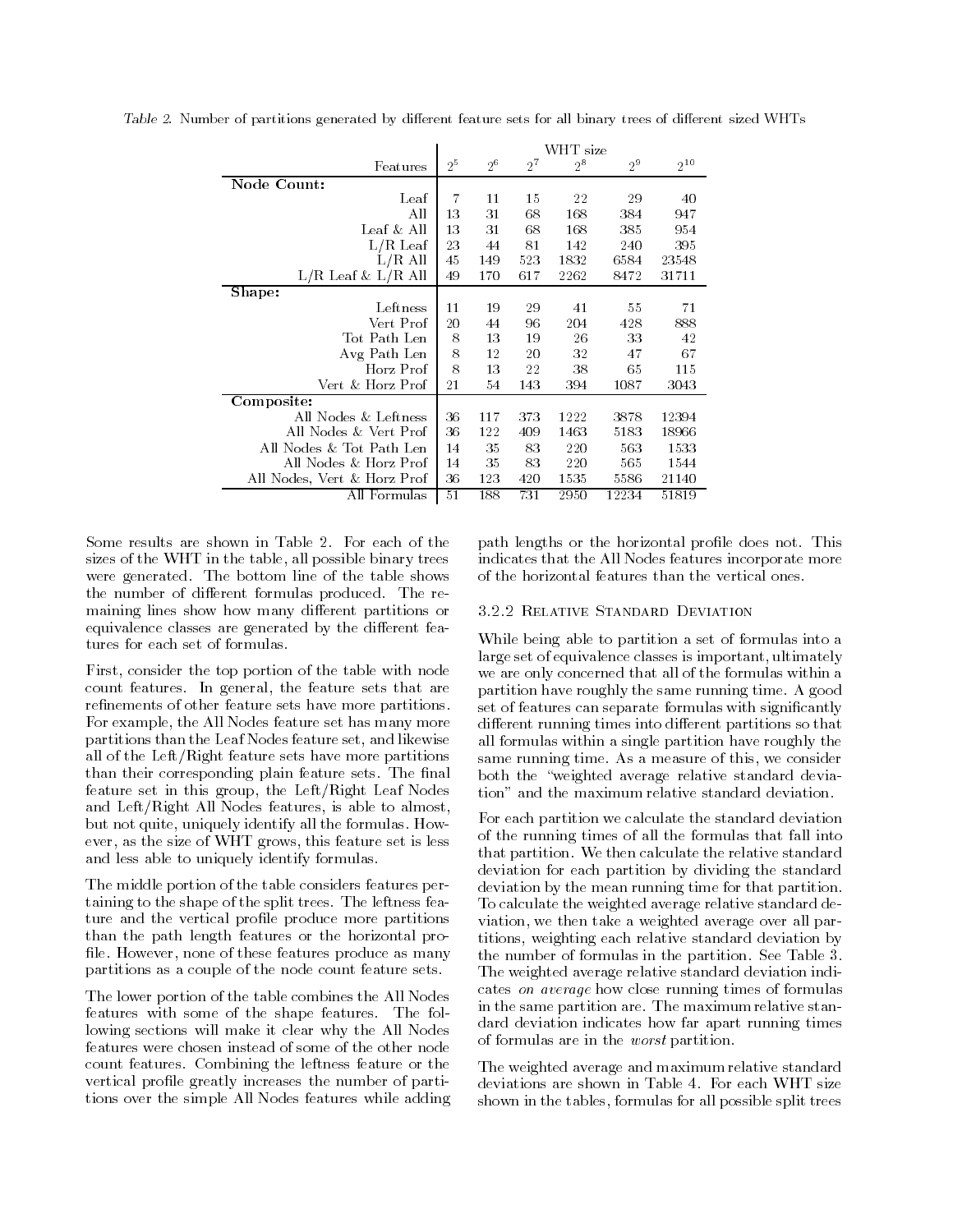|                             | WHT size |       |           |         |         |          |  |  |
|-----------------------------|----------|-------|-----------|---------|---------|----------|--|--|
| Features                    | $2^5$    | $2^6$ | $2^{\,7}$ | $2^{8}$ | $2^{9}$ | $2^{10}$ |  |  |
| Node Count:                 |          |       |           |         |         |          |  |  |
| Leaf                        | 7        | 11    | 15        | 22      | 29      | 40       |  |  |
| All                         | 13       | 31    | 68        | 168     | 384     | 947      |  |  |
| Leaf & All                  | 13       | 31    | 68        | 168     | 385     | 954      |  |  |
| $L/R$ Leaf                  | 23       | 44    | 81        | 142     | 240     | 395      |  |  |
| $L/R$ All                   | 45       | 149   | 523       | 1832    | 6584    | 23548    |  |  |
| $L/R$ Leaf & $L/R$ All      | 49       | 170   | 617       | 2262    | 8472    | 31711    |  |  |
| Shape:                      |          |       |           |         |         |          |  |  |
| Leftness                    | 11       | 19    | 29        | 41      | 55      | 71       |  |  |
| Vert Prof                   | 20       | 44    | 96        | 204     | 428     | 888      |  |  |
| Tot Path Len                | 8        | 13    | 19        | 26      | 33      | 42       |  |  |
| Avg Path Len                | 8        | 12    | 20        | 32      | 47      | 67       |  |  |
| Horz Prof                   | 8        | 13    | 22        | 38      | 65      | 115      |  |  |
| Vert & Horz Prof            | 21       | 54    | 143       | 394     | 1087    | 3043     |  |  |
| Composite:                  |          |       |           |         |         |          |  |  |
| All Nodes & Leftness        | 36       | 117   | 373       | 1222    | 3878    | 12394    |  |  |
| All Nodes & Vert Prof       | 36       | 122   | 409       | 1463    | 5183    | 18966    |  |  |
| All Nodes & Tot Path Len    |          | 35    | 83        | 220     | 563     | 1533     |  |  |
| All Nodes & Horz Prof       | 14       | 35    | 83        | 220     | 565     | 1544     |  |  |
| All Nodes, Vert & Horz Prof | 36       | 123   | 420       | 1535    | 5586    | 21140    |  |  |
| All Formulas                | 51       | 188   | 731       | 2950    | 12234   | 51819    |  |  |

Table 2. INumber of partitions generated by different feature sets for all binary trees of different sized WHTs

sizes of the WHT in the table- all possible binary trees were generated. The bottom line of the table shows the number of different formulas produced. The remaining lines show how many different partitions or equivalence classes are generated by the different features for each set of formulas

First- consider the top portion of the table with node the feature in general-the feature sets that  $\sim$ re nements of other feature sets have more partitions For example- the All Nodes feature set has many more partitions than the Leaf Nodes feature set, and likewise all of the Left/Right feature sets have more partitions than the corresponding plants feature sets The State Theory feature set in this group- the LeftRight Leaf Nodes and Left Right All Nodes features- is able to almost a structure  $\mathcal{L}_1$ but not quite- independently identify which the formulas How all the formulas How and  $\alpha$ ever-the size of WHT grows-Set is less of WHT grows-set is less of WHT grows-set is less of WHT grows-set is l and less able to uniquely identify formulas

The middle portion of the table considers features per taining to the shape of the split trees The leftness fea ture and the vertical pro le produce more partitions than the path length features or the horizontal pro le However- none of these features produce as many partitions as a couple of the node count feature sets

The lower portion of the table combines the All Nodes features with some of the shape features The fol lowing sections will make it clear why the All Nodes features were chosen instead of some of the other node count features Combining the leftness feature or the vertical product greatly increases the number of parties tions over the simple All Nodes features while adding

path lengths or the horizontal pro le does not This indicates that the All Nodes features incorporate more of the horizontal features than the vertical ones.

#### **3.2.2 RELATIVE STANDARD DEVIATION**

While being able to partition a set of formulas into a large set of equivalence classes is important- ultimately we are only concerned that all of the formulas within a partition have roughly the same running time A good set of features can separate formulas with signi cantly different running times into different partitions so that all formulas within a single partition have roughly the same running time are a measurer or time as a measure of both the "weighted average relative standard deviation" and the maximum relative standard deviation.

For each partition we calculate the standard deviation of the running times of all the formulas that fall into that partition. We then calculate the relative standard deviation for each partition by dividing the standard deviation by the mean running time for that partition To calculate the weighted average relative standard de viation- we then takeaweighted average over all par titions- weighting each relative standard deviation by the number of formulas in the partition. See Table 3. The weighted average relative standard deviation indi cates on average how close running times of formulas in the same partition are The maximum relative stan dard deviation indicates how far apart running times of formulas are in the worst partition

The weighted average and maximum relative standard deviations are shown in Table 4. For each WHT size shown in the tables- formulas for all possible split trees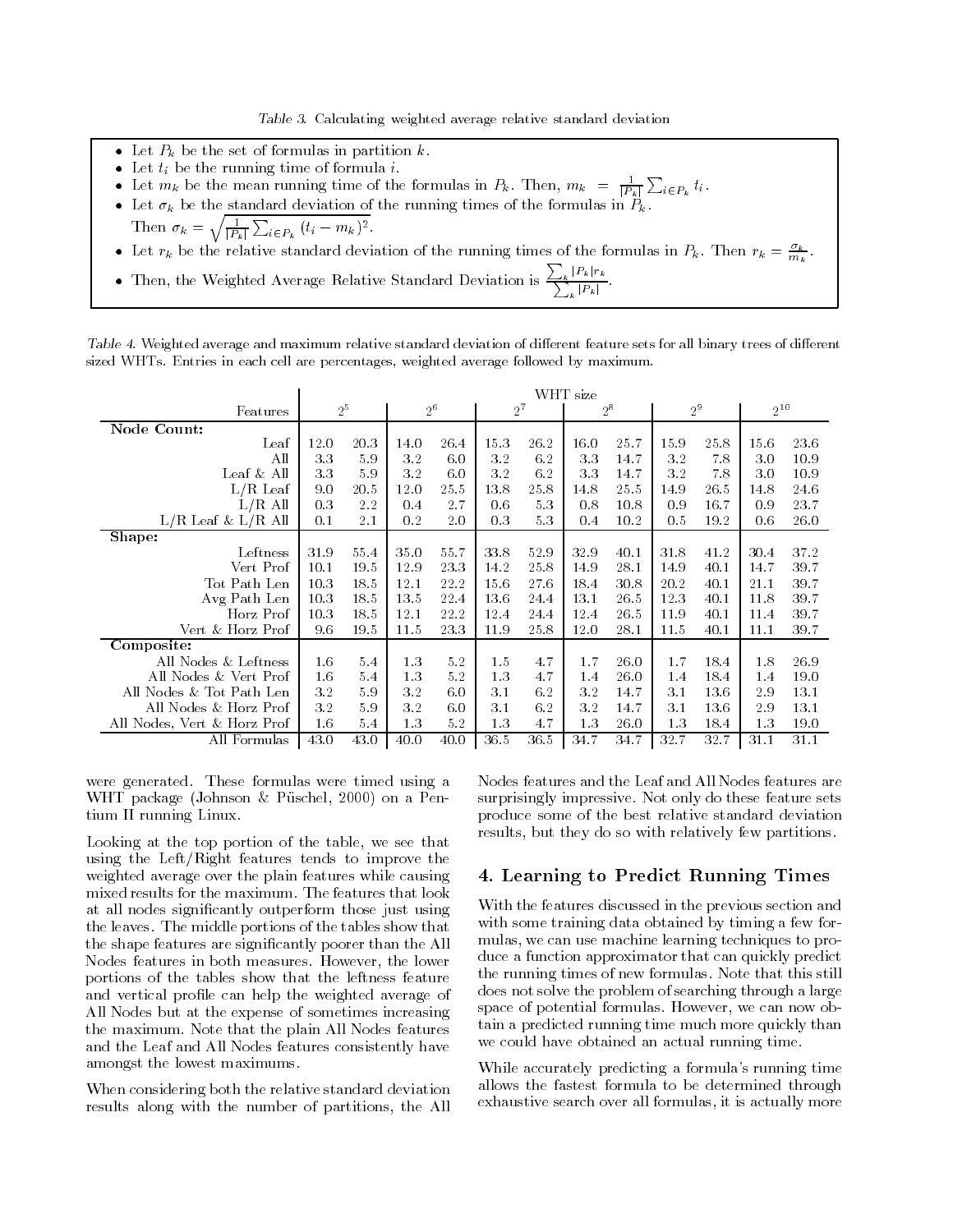Table Calculating weighted average relative standard deviation

- Let  $P_k$  be the set of formulas in partition k.
- 
- Let  $t_i$  be the running time of formula *i*.<br>• Let  $m_k$  be the mean running time of the formulas in  $P_k$ . Then,  $m_k = \frac{1}{|P_k|} \sum_{i \in P_k} t_i$ . tion of the contract of the contract of the contract of the contract of the contract of the contract of the contract of the contract of the contract of the contract of the contract of the contract of the contract of the co
- Let  $\sigma_k$  be the standard deviation of the running times of the formulas in  $P_k$ .<br>Then  $\sigma_k = \sqrt{\frac{1}{|P_k|} \sum_{i \in P_k} (t_i m_k)^2}$ .
- 
- Let  $r_k$  be the relative standard deviation of the running times of the formulas in  $P_k$ . Then  $r_k = \frac{R_k}{m_k}$ .
- Then, the Weighted Average Relative Standard Deviation is  $\frac{\sum_{k} |P_k| r_k}{\sum_{j} |P_k|}$ .

Table 4. Weighted average and maximum relative standard deviation of different reature sets for all binary trees of different sized WHTs. Entries in each cell are percentages, weighted average followed by maximum.

|                             | WHT size |      |       |      |       |      |       |      |                |      |          |      |  |
|-----------------------------|----------|------|-------|------|-------|------|-------|------|----------------|------|----------|------|--|
| Features                    | $2^5$    |      | $2^6$ |      | $2^7$ |      | $2^8$ |      | 2 <sup>9</sup> |      | $2^{10}$ |      |  |
| Node Count:                 |          |      |       |      |       |      |       |      |                |      |          |      |  |
| Leaf                        | 12.0     | 20.3 | 14.0  | 26.4 | 15.3  | 26.2 | 16.0  | 25.7 | 15.9           | 25.8 | 15.6     | 23.6 |  |
| All                         | 3.3      | 5.9  | 3.2   | 6.0  | 3.2   | 6.2  | 3.3   | 14.7 | 3.2            | 7.8  | 3.0      | 10.9 |  |
| Leaf & All                  | 3.3      | 5.9  | 3.2   | 6.0  | 3.2   | 6.2  | 3.3   | 14.7 | 3.2            | 7.8  | 3.0      | 10.9 |  |
| $L/R$ Leaf                  | 9.0      | 20.5 | 12.0  | 25.5 | 13.8  | 25.8 | 14.8  | 25.5 | 14.9           | 26.5 | 14.8     | 24.6 |  |
| $L/R$ All                   | 0.3      | 2.2  | 0.4   | 2.7  | 0.6   | 5.3  | 0.8   | 10.8 | 0.9            | 16.7 | 0.9      | 23.7 |  |
| $L/R$ Leaf & $L/R$ All      | 0.1      | 2.1  | 0.2   | 2.0  | 0.3   | 5.3  | 0.4   | 10.2 | 0.5            | 19.2 | 0.6      | 26.0 |  |
| Shape:                      |          |      |       |      |       |      |       |      |                |      |          |      |  |
| Leftness                    | 31.9     | 55.4 | 35.0  | 55.7 | 33.8  | 52.9 | 32.9  | 40.1 | 31.8           | 41.2 | 30.4     | 37.2 |  |
| Vert Prof                   | 10.1     | 19.5 | 12.9  | 23.3 | 14.2  | 25.8 | 14.9  | 28.1 | 14.9           | 40.1 | 14.7     | 39.7 |  |
| Tot Path Len                | 10.3     | 18.5 | 12.1  | 22.2 | 15.6  | 27.6 | 18.4  | 30.8 | 20.2           | 40.1 | 21.1     | 39.7 |  |
| Avg Path Len                | 10.3     | 18.5 | 13.5  | 22.4 | 13.6  | 24.4 | 13.1  | 26.5 | 12.3           | 40.1 | 11.8     | 39.7 |  |
| Horz Prof                   | 10.3     | 18.5 | 12.1  | 22.2 | 12.4  | 24.4 | 12.4  | 26.5 | 11.9           | 40.1 | 11.4     | 39.7 |  |
| Vert & Horz Prof            | 9.6      | 19.5 | 11.5  | 23.3 | 11.9  | 25.8 | 12.0  | 28.1 | 11.5           | 40.1 | 11.1     | 39.7 |  |
| Composite:                  |          |      |       |      |       |      |       |      |                |      |          |      |  |
| All Nodes & Leftness        | 1.6      | 5.4  | 1.3   | 5.2  | 1.5   | 4.7  | 1.7   | 26.0 | 1.7            | 18.4 | 1.8      | 26.9 |  |
| All Nodes & Vert Prof       | 1.6      | 5.4  | 1.3   | 5.2  | 1.3   | 4.7  | 1.4   | 26.0 | 1.4            | 18.4 | 1.4      | 19.0 |  |
| All Nodes & Tot Path Len    | 3.2      | 5.9  | 3.2   | 6.0  | 3.1   | 6.2  | 3.2   | 14.7 | 3.1            | 13.6 | 2.9      | 13.1 |  |
| All Nodes & Horz Prof       | 3.2      | 5.9  | 3.2   | 6.0  | 3.1   | 6.2  | 3.2   | 14.7 | 3.1            | 13.6 | 2.9      | 13.1 |  |
| All Nodes, Vert & Horz Prof | 1.6      | 5.4  | 1.3   | 5.2  | 1.3   | 4.7  | 1.3   | 26.0 | 1.3            | 18.4 | 1.3      | 19.0 |  |
| All Formulas                | 43.0     | 43.0 | 40.0  | 40.0 | 36.5  | 36.5 | 34.7  | 34.7 | 32.7           | 32.7 | 31.1     | 31.1 |  |

were generated. These formulas were timed using a where package is considered to the control and  $\alpha$  are as the control of the control of the control of the control of the control of the control of the control of the control of the control of the control of the control o tium II running Linux

Looking at the top portion of the table- we see that using the Left/Right features tends to improve the weighted average over the plain features while causing mixed results for the maximum. The features that look at all nodes significantly outperform that all nodes significant cantacters in the cantacters of the control of the leaves The middle portions of the tables show that the shape features are signi cantly poorer than the All Nodes features in both measures However- the lower portions of the tables show that the leftness feature and vertical pro le can help the weighted average of All Nodes but at the expense of sometimes increasing the maximum Note that the plain All Nodes features and the Leaf and All Nodes features consistently have amongst the lowest maximums

When considering both the relative standard deviation results along with the number of partitions- the All Nodes features and the Leaf and All Nodes features are surprisingly impressive Not only do these feature sets produce some of the best relative standard deviation results- but they do so with relative expenses partitions to

## Learning to Predict Running Times

With the features discussed in the previous section and with some training data obtained by timing a few for mulas- we can use machine learning techniques to pro duce a function approximator that can quickly predict the running times of new formulas Note that this still does not solve the problem of searching through a large space of potential formulas However-Color in the However-Co tain a predicted running time much more quickly than we could have obtained an actual running time

While accurately predicting a formula's running time allows the fastest formula to be determined through exhaustive search over all formulas- it is actually more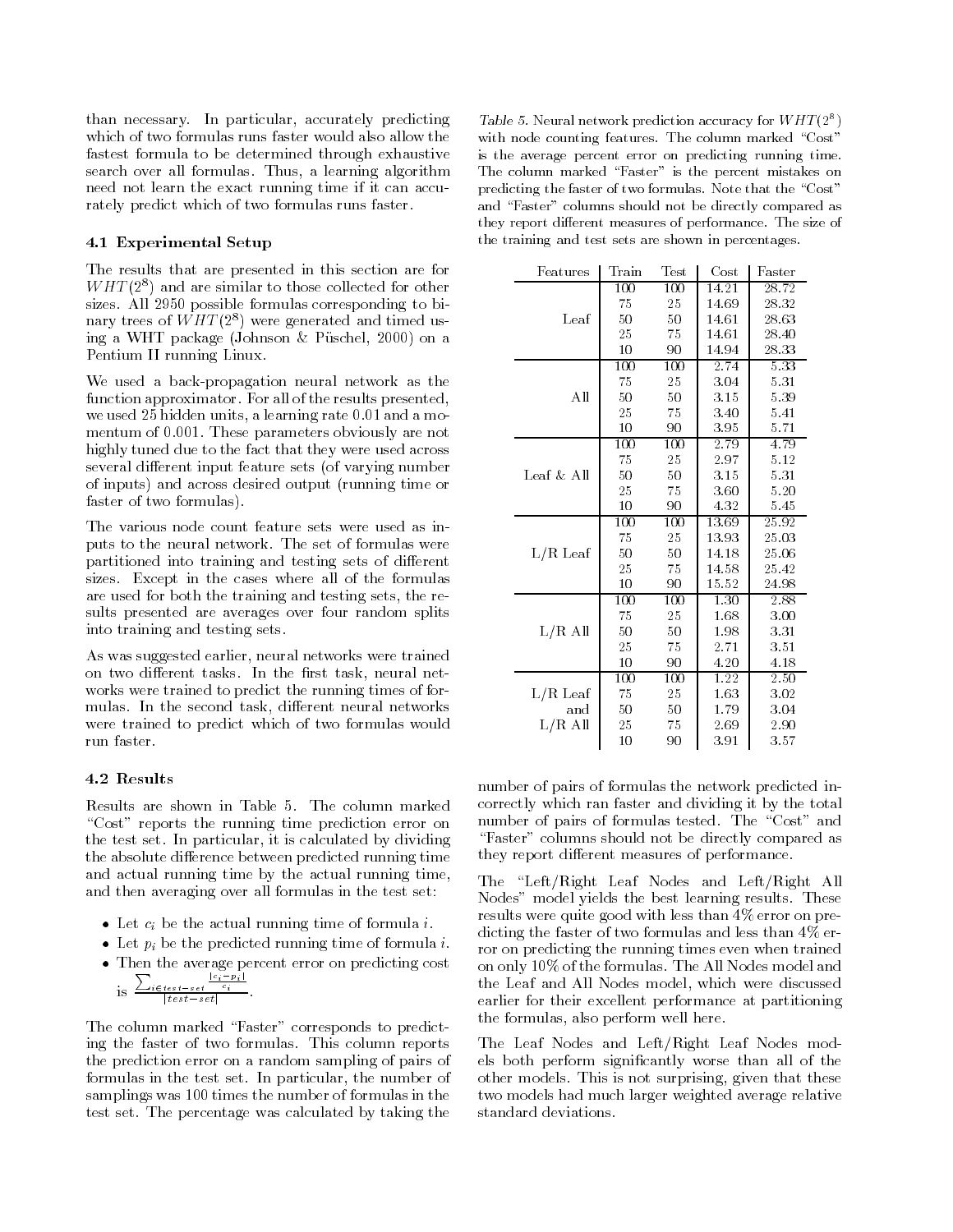than necessary In particular- accurately predicting which of two formulas runs faster would also allow the fastest formula to be determined through exhaustive search over an interesting the learning algorithment of the need not learn the exact running time if it can accu rately predict which of two formulas runs faster

### Experimental Setup

The results that are presented in this section are for  $WH1$  (2) and are similar to those collected for other sizes. All 2950 possible formulas corresponding to binary trees of  $WHI$  (2)) were generated and timed using a WHT package in a WHT package in a WHT package in a WHT package in a WHT package in a WHT package in a WH Pentium II running Linux

We used a back-propagation neural network as the function approximator For all of the results presented- $\cdots$  and a learning model is a model in the model  $\alpha$  model in the model is and a model in the model is a model in the model in the model in the model in the model in the model in the model in the model in the model in mentum of 0.001. These parameters obviously are not highly tuned due to the fact that they were used across several different input feature sets (of varying number of inputs) and across desired output (running time or faster of two formulas

The various node count feature sets were used as inputs to the neural network The set of formulas were partitioned into training and testing sets of different sizes Except in the cases where all of the formulas are used for both the training and testing sets- the re sults presented are averages over four random splits into training and testing sets

As was suggested earlier- neural networks were trained <u>the two dimensions indicates in the inter-theory methods in the set of the set of the set of the set of the set of the set of the set of the set of the set of the set of the set of the set of the set of the set of the set</u> works were trained to predict the running times of for mulas In the second task- di erent neural networks were trained to predict which of two formulas would run faster.

## 4.2 Results

Results are shown in Table 5. The column marked "Cost" reports the running time prediction error on the test set is calculated by dividing  $\mathcal{A}$ the absolute difference between predicted running time and actual running time by the actual running time, and then averaging over all formulas in the test set

- $\bullet\,$  Let  $c_i$  be the actual running time of formula  $i.$
- $\bullet\,$  Let  $\,p_{i}\,$  be the predicted running time of formula  $\imath\,$ .  $\,$
- $\bullet$  -finen the average percent error on predicting cost  $\hspace{0.1mm}$

is 
$$
\frac{\sum_{i \in test-set} \frac{|c_i - p_i|}{c_i}}{|test-set|}.
$$

The column marked "Faster" corresponds to predicting the faster of two formulas. This column reports the prediction error on a random sampling of pairs of formulas in the test set In particular- the number of samplings was 100 times the number of formulas in the test set The percentage was calculated by taking the

Table 5. Neural network prediction accuracy for WHT  $(2^+)$ with node counting features. The column marked "Cost" is the average percent error on predicting running time The column matrix  $\mathcal{F}_{\mathcal{A}}$  is the percent mistakes on  $\mathcal{F}_{\mathcal{A}}$  and  $\mathcal{F}_{\mathcal{A}}$ predicting the faster of two formulas. Note that the "Cost" and  $\Gamma$  and  $\Gamma$ aster  $\Gamma$ aster data be directly compared as the directly compared as  $\Gamma$ they report different measures of performance The size of the size the training and test sets are shown in percentages

| Features     | Train | ${\rm Test}$ | $\cos t$ | $\rm{Faster}$ |
|--------------|-------|--------------|----------|---------------|
|              | 100   | 100          | 14.21    | 28.72         |
|              | 75    | 25           | 14.69    | 28.32         |
| Leaf         | 50    | 50           | 14.61    | 28.63         |
|              | 25    | 75           | 14.61    | 28.40         |
|              | 10    | 90           | 14.94    | 28.33         |
|              | 100   | 100          | 2.74     | 5.33          |
|              | 75    | 25           | 3.04     | 5.31          |
| All          | 50    | 50           | 3.15     | 5.39          |
|              | 25    | 75           | 3.40     | 5.41          |
|              | 10    | 90           | 3.95     | 5.71          |
|              | 100   | 100          | 2.79     | 4.79          |
|              | 75    | 25           | 2.97     | 5.12          |
| Leaf $&$ All | 50    | 50           | 3.15     | 5.31          |
|              | 25    | 75           | 3.60     | 5.20          |
|              | 10    | 90           | 4.32     | 5.45          |
|              | 100   | 100          | 13.69    | 25.92         |
|              | 75    | 25           | 13.93    | 25.03         |
| $L/R$ Leaf   | 50    | 50           | 14.18    | 25.06         |
|              | 25    | 75           | 14.58    | 25.42         |
|              | 10    | 90           | 15.52    | 24.98         |
|              | 100   | 100          | 1.30     | 2.88          |
|              | 75    | 25           | 1.68     | 3.00          |
| $L/R$ All    | 50    | 50           | 1.98     | 3.31          |
|              | 25    | 75           | 2.71     | 3.51          |
|              | 10    | 90           | 4.20     | 4.18          |
|              | 100   | 100          | 1.22     | 2.50          |
| $L/R$ Leaf   | 75    | 25           | 1.63     | 3.02          |
| and          | 50    | 50           | 1.79     | 3.04          |
| $L/R$ All    | 25    | 75           | 2.69     | 2.90          |
|              | 10    | 90           | 3.91     | 3.57          |

number of pairs of formulas the network predicted in correctly which ran faster and dividing it by the total number of pairs of formulas tested. The "Cost" and "Faster" columns should not be directly compared as they report different measures of performance.

The "Left/Right Leaf Nodes and Left/Right All Nodes" model yields the best learning results. These results were quite good with less than  $4\%$  error on predicting the faster of two formulas and less than  $4\%$  error on predicting the running times even when trained on only 10% of the formulas. The All Nodes model and the Leaf and All Leaf and All Nodes models were discussed and all the contract of earlier for their excellent performance at partitioning the formulas-beam of the formulas-beam of the formulas-beam of the formulas-beam of the formulas-beam of the f

The Leaf Nodes and Left/Right Leaf Nodes models both perform signi cantly worse than all of the other models This is not surprisingly that the surprising two models had much larger weighted average relative standard deviations